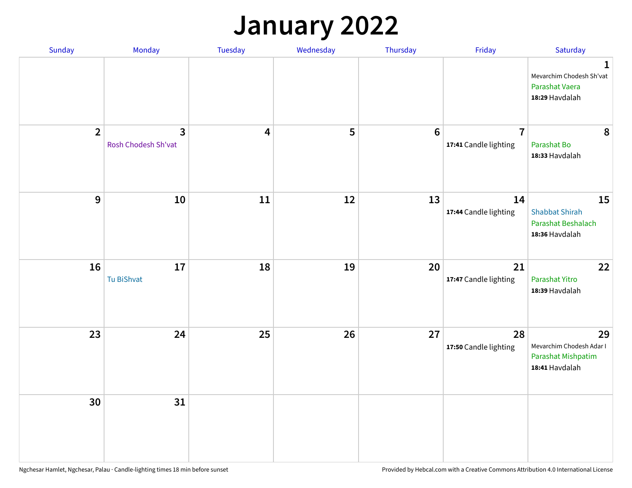## **January 2022**

| Sunday         | Monday                              | Tuesday                 | Wednesday | Thursday        | Friday                                  | Saturday                                                                    |
|----------------|-------------------------------------|-------------------------|-----------|-----------------|-----------------------------------------|-----------------------------------------------------------------------------|
|                |                                     |                         |           |                 |                                         | $\mathbf 1$<br>Mevarchim Chodesh Sh'vat<br>Parashat Vaera<br>18:29 Havdalah |
| $\overline{2}$ | $\mathbf{3}$<br>Rosh Chodesh Sh'vat | $\overline{\mathbf{4}}$ | 5         | $6\phantom{1}6$ | $\overline{7}$<br>17:41 Candle lighting | 8<br>Parashat Bo<br>18:33 Havdalah                                          |
| 9              | 10                                  | 11                      | 12        | 13              | 14<br>17:44 Candle lighting             | 15<br><b>Shabbat Shirah</b><br>Parashat Beshalach<br>18:36 Havdalah         |
| 16             | 17<br>Tu BiShvat                    | 18                      | 19        | 20              | 21<br>17:47 Candle lighting             | 22<br>Parashat Yitro<br>18:39 Havdalah                                      |
| 23             | 24                                  | 25                      | 26        | 27              | 28<br>17:50 Candle lighting             | 29<br>Mevarchim Chodesh Adar I<br>Parashat Mishpatim<br>18:41 Havdalah      |
| 30             | 31                                  |                         |           |                 |                                         |                                                                             |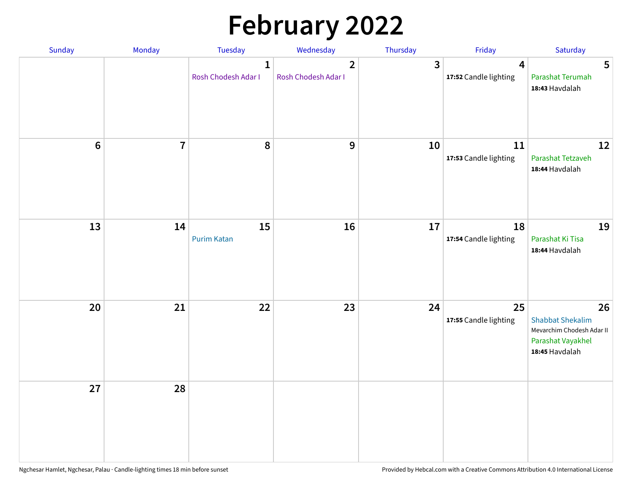# **February 2022**

| Sunday | Monday                  | <b>Tuesday</b>                      | Wednesday                             | Thursday | Friday                                           | Saturday                                                                                          |
|--------|-------------------------|-------------------------------------|---------------------------------------|----------|--------------------------------------------------|---------------------------------------------------------------------------------------------------|
|        |                         | $\mathbf{1}$<br>Rosh Chodesh Adar I | $\overline{2}$<br>Rosh Chodesh Adar I | 3        | $\overline{\mathbf{4}}$<br>17:52 Candle lighting | 5<br>Parashat Terumah<br>18:43 Havdalah                                                           |
| $6\,$  | $\overline{\mathbf{7}}$ | 8                                   | 9                                     | 10       | 11<br>17:53 Candle lighting                      | 12<br>Parashat Tetzaveh<br>18:44 Havdalah                                                         |
| 13     | 14                      | 15<br><b>Purim Katan</b>            | 16                                    | 17       | 18<br>17:54 Candle lighting                      | 19<br>Parashat Ki Tisa<br>18:44 Havdalah                                                          |
| 20     | 21                      | 22                                  | 23                                    | 24       | 25<br>17:55 Candle lighting                      | 26<br><b>Shabbat Shekalim</b><br>Mevarchim Chodesh Adar II<br>Parashat Vayakhel<br>18:45 Havdalah |
| 27     | 28                      |                                     |                                       |          |                                                  |                                                                                                   |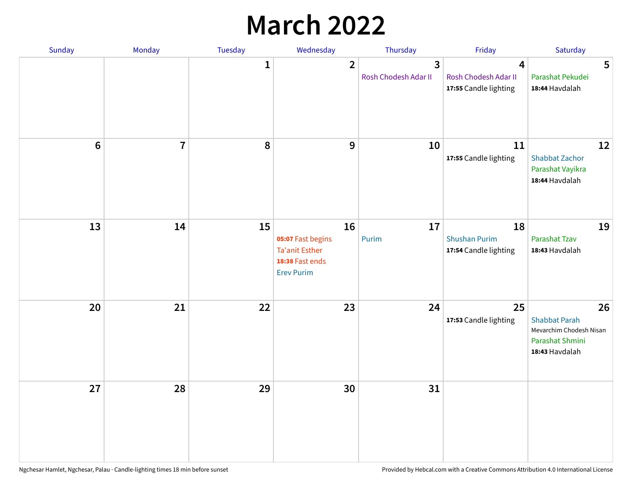## **March 2022**

| Sunday         | Monday         | Tuesday      | Wednesday                                                                                | Thursday                  | Friday                                              | Saturday                                                                                   |
|----------------|----------------|--------------|------------------------------------------------------------------------------------------|---------------------------|-----------------------------------------------------|--------------------------------------------------------------------------------------------|
|                |                | $\mathbf{1}$ | $\overline{2}$                                                                           | 3<br>Rosh Chodesh Adar II | 4<br>Rosh Chodesh Adar II<br>17:55 Candle lighting  | 5<br>Parashat Pekudei<br>18:44 Havdalah                                                    |
| $6\phantom{1}$ | $\overline{7}$ | 8            | $9$                                                                                      | 10                        | 11<br>17:55 Candle lighting                         | 12<br><b>Shabbat Zachor</b><br>Parashat Vayikra<br>18:44 Havdalah                          |
| 13             | 14             | 15           | 16<br>05:07 Fast begins<br><b>Ta'anit Esther</b><br>18:38 Fast ends<br><b>Erev Purim</b> | 17<br>Purim               | 18<br><b>Shushan Purim</b><br>17:54 Candle lighting | 19<br>Parashat Tzav<br>18:43 Havdalah                                                      |
| 20             | 21             | 22           | 23                                                                                       | 24                        | 25<br>17:53 Candle lighting                         | 26<br><b>Shabbat Parah</b><br>Mevarchim Chodesh Nisan<br>Parashat Shmini<br>18:43 Havdalah |
| 27             | 28             | 29           | 30                                                                                       | 31                        |                                                     |                                                                                            |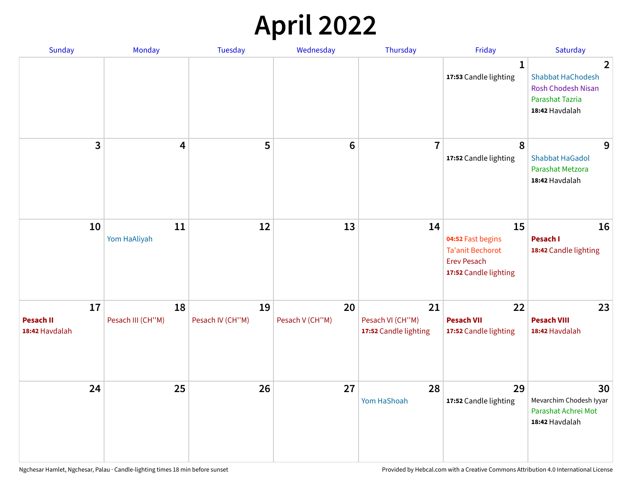## **April 2022**

| Sunday                                   | Monday                  | <b>Tuesday</b>         | Wednesday             | Thursday                                        | Friday                                                                                            | Saturday                                                                                                            |
|------------------------------------------|-------------------------|------------------------|-----------------------|-------------------------------------------------|---------------------------------------------------------------------------------------------------|---------------------------------------------------------------------------------------------------------------------|
|                                          |                         |                        |                       |                                                 | $\mathbf{1}$<br>17:53 Candle lighting                                                             | $\overline{2}$<br><b>Shabbat HaChodesh</b><br><b>Rosh Chodesh Nisan</b><br><b>Parashat Tazria</b><br>18:42 Havdalah |
| 3                                        | $\overline{4}$          | 5                      | $6\phantom{1}6$       | $\overline{7}$                                  | 8<br>17:52 Candle lighting                                                                        | 9<br><b>Shabbat HaGadol</b><br>Parashat Metzora<br>18:42 Havdalah                                                   |
| 10                                       | 11<br>Yom HaAliyah      | 12                     | 13                    | 14                                              | 15<br>04:52 Fast begins<br><b>Ta'anit Bechorot</b><br><b>Erev Pesach</b><br>17:52 Candle lighting | 16<br>Pesach I<br>18:42 Candle lighting                                                                             |
| 17<br><b>Pesach II</b><br>18:42 Havdalah | 18<br>Pesach III (CH"M) | 19<br>Pesach IV (CH"M) | 20<br>Pesach V (CH"M) | 21<br>Pesach VI (CH"M)<br>17:52 Candle lighting | 22<br><b>Pesach VII</b><br>17:52 Candle lighting                                                  | 23<br><b>Pesach VIII</b><br>18:42 Havdalah                                                                          |
| 24                                       | 25                      | 26                     | 27                    | 28<br>Yom HaShoah                               | 29<br>17:52 Candle lighting                                                                       | 30<br>Mevarchim Chodesh Iyyar<br>Parashat Achrei Mot<br>18:42 Havdalah                                              |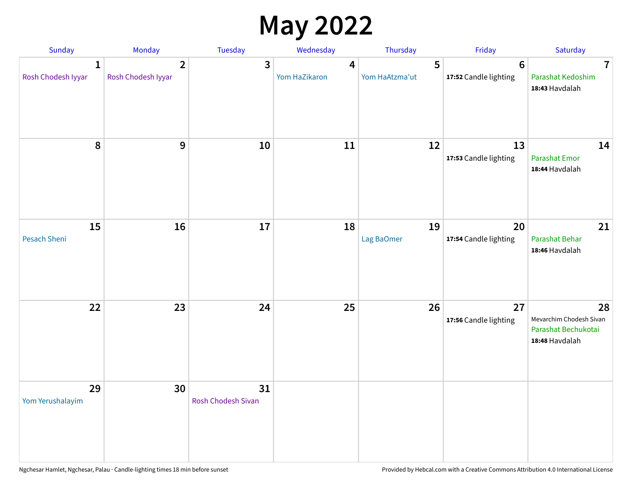## **May 2022**

| Sunday                             | Monday                               | Tuesday                  | Wednesday                                | Thursday            | Friday                                  | Saturday                                                               |
|------------------------------------|--------------------------------------|--------------------------|------------------------------------------|---------------------|-----------------------------------------|------------------------------------------------------------------------|
| $\mathbf{1}$<br>Rosh Chodesh Iyyar | $\overline{2}$<br>Rosh Chodesh Iyyar | 3                        | $\overline{\mathbf{4}}$<br>Yom HaZikaron | 5<br>Yom HaAtzma'ut | $6\phantom{1}$<br>17:52 Candle lighting | $\overline{7}$<br>Parashat Kedoshim<br>18:43 Havdalah                  |
| 8                                  | 9                                    | 10                       | 11                                       | 12                  | 13<br>17:53 Candle lighting             | 14<br>Parashat Emor<br>18:44 Havdalah                                  |
| 15<br>Pesach Sheni                 | 16                                   | 17                       | 18                                       | 19<br>Lag BaOmer    | 20<br>17:54 Candle lighting             | 21<br>Parashat Behar<br>18:46 Havdalah                                 |
| 22                                 | 23                                   | 24                       | 25                                       | 26                  | 27<br>17:56 Candle lighting             | 28<br>Mevarchim Chodesh Sivan<br>Parashat Bechukotai<br>18:48 Havdalah |
| 29<br>Yom Yerushalayim             | 30                                   | 31<br>Rosh Chodesh Sivan |                                          |                     |                                         |                                                                        |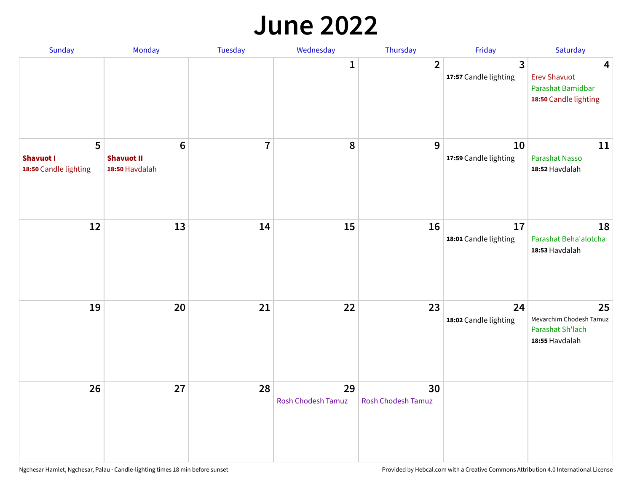#### **June 2022**

| Sunday                                         | Monday                                                | Tuesday        | Wednesday                       | Thursday                        | Friday                      | Saturday                                                               |
|------------------------------------------------|-------------------------------------------------------|----------------|---------------------------------|---------------------------------|-----------------------------|------------------------------------------------------------------------|
|                                                |                                                       |                | 1                               | $\overline{2}$                  | 3<br>17:57 Candle lighting  | 4<br><b>Erev Shavuot</b><br>Parashat Bamidbar<br>18:50 Candle lighting |
| 5<br><b>Shavuot I</b><br>18:50 Candle lighting | $6\phantom{1}$<br><b>Shavuot II</b><br>18:50 Havdalah | $\overline{7}$ | 8                               | 9                               | 10<br>17:59 Candle lighting | 11<br><b>Parashat Nasso</b><br>18:52 Havdalah                          |
| 12                                             | 13                                                    | 14             | 15                              | 16                              | 17<br>18:01 Candle lighting | 18<br>Parashat Beha'alotcha<br>18:53 Havdalah                          |
| 19                                             | 20                                                    | 21             | 22                              | 23                              | 24<br>18:02 Candle lighting | 25<br>Mevarchim Chodesh Tamuz<br>Parashat Sh'lach<br>18:55 Havdalah    |
| 26                                             | 27                                                    | 28             | 29<br><b>Rosh Chodesh Tamuz</b> | 30<br><b>Rosh Chodesh Tamuz</b> |                             |                                                                        |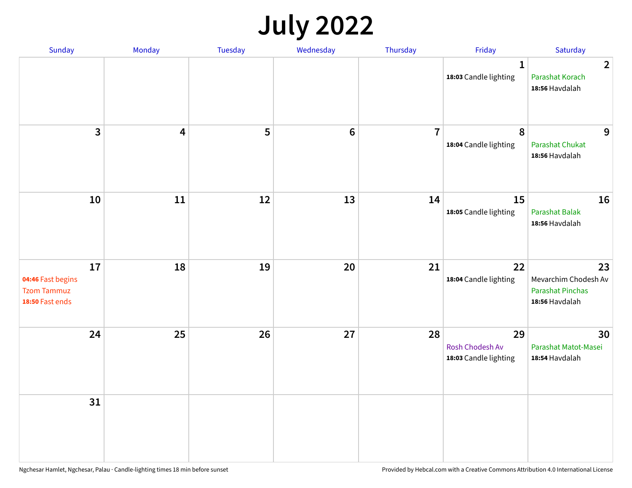## **July 2022**

| Sunday                                                           | Monday                  | Tuesday | Wednesday | Thursday       | Friday                                         | Saturday                                                                |
|------------------------------------------------------------------|-------------------------|---------|-----------|----------------|------------------------------------------------|-------------------------------------------------------------------------|
|                                                                  |                         |         |           |                | $\mathbf{1}$<br>18:03 Candle lighting          | $\overline{2}$<br>Parashat Korach<br>18:56 Havdalah                     |
| $\mathbf{3}$                                                     | $\overline{\mathbf{4}}$ | 5       | $\bf 6$   | $\overline{7}$ | $\pmb{8}$<br>18:04 Candle lighting             | 9<br>Parashat Chukat<br>18:56 Havdalah                                  |
| 10                                                               | 11                      | 12      | 13        | 14             | 15<br>18:05 Candle lighting                    | 16<br><b>Parashat Balak</b><br>18:56 Havdalah                           |
| 17<br>04:46 Fast begins<br><b>Tzom Tammuz</b><br>18:50 Fast ends | 18                      | 19      | 20        | 21             | 22<br>18:04 Candle lighting                    | 23<br>Mevarchim Chodesh Av<br><b>Parashat Pinchas</b><br>18:56 Havdalah |
| 24                                                               | 25                      | 26      | 27        | 28             | 29<br>Rosh Chodesh Av<br>18:03 Candle lighting | 30<br>Parashat Matot-Masei<br>18:54 Havdalah                            |
| 31                                                               |                         |         |           |                |                                                |                                                                         |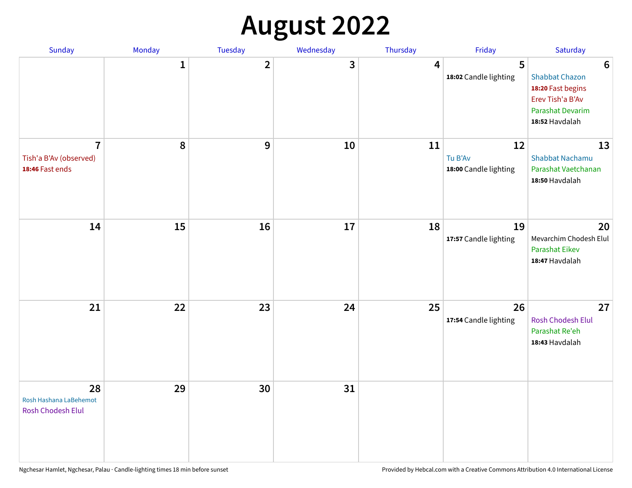# **August 2022**

| Sunday                                                      | Monday       | Tuesday      | Wednesday | Thursday | Friday                                 | Saturday                                                                                                                |
|-------------------------------------------------------------|--------------|--------------|-----------|----------|----------------------------------------|-------------------------------------------------------------------------------------------------------------------------|
|                                                             | $\mathbf{1}$ | $\mathbf{2}$ | 3         | 4        | 5<br>18:02 Candle lighting             | $6\phantom{1}6$<br><b>Shabbat Chazon</b><br>18:20 Fast begins<br>Erev Tish'a B'Av<br>Parashat Devarim<br>18:52 Havdalah |
| $\overline{7}$<br>Tish'a B'Av (observed)<br>18:46 Fast ends | 8            | 9            | 10        | 11       | 12<br>Tu B'Av<br>18:00 Candle lighting | 13<br><b>Shabbat Nachamu</b><br>Parashat Vaetchanan<br>18:50 Havdalah                                                   |
| 14                                                          | 15           | 16           | 17        | 18       | 19<br>17:57 Candle lighting            | 20<br>Mevarchim Chodesh Elul<br>Parashat Eikev<br>18:47 Havdalah                                                        |
| 21                                                          | 22           | 23           | 24        | 25       | 26<br>17:54 Candle lighting            | 27<br>Rosh Chodesh Elul<br>Parashat Re'eh<br>18:43 Havdalah                                                             |
| 28<br>Rosh Hashana LaBehemot<br>Rosh Chodesh Elul           | 29           | 30           | 31        |          |                                        |                                                                                                                         |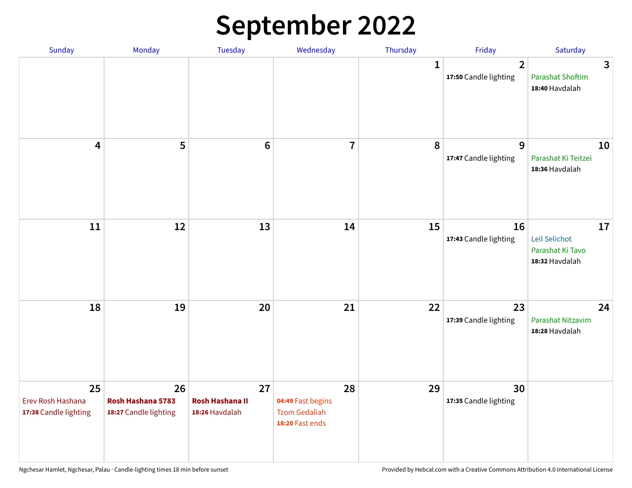## **September 2022**

| Sunday                                           | Monday                                           | Tuesday                                        | Wednesday                                                          | Thursday     | Friday                                  | Saturday                                                  |
|--------------------------------------------------|--------------------------------------------------|------------------------------------------------|--------------------------------------------------------------------|--------------|-----------------------------------------|-----------------------------------------------------------|
|                                                  |                                                  |                                                |                                                                    | $\mathbf{1}$ | $\overline{2}$<br>17:50 Candle lighting | 3<br><b>Parashat Shoftim</b><br>18:40 Havdalah            |
| $\overline{\mathbf{4}}$                          | 5                                                | $6\phantom{1}6$                                | $\overline{7}$                                                     | 8            | 9<br>17:47 Candle lighting              | 10<br>Parashat Ki Teitzei<br>18:36 Havdalah               |
| $11\,$                                           | 12                                               | 13                                             | 14                                                                 | 15           | 16<br>17:43 Candle lighting             | 17<br>Leil Selichot<br>Parashat Ki Tavo<br>18:32 Havdalah |
| 18                                               | 19                                               | 20                                             | 21                                                                 | 22           | 23<br>17:39 Candle lighting             | 24<br>Parashat Nitzavim<br>18:28 Havdalah                 |
| 25<br>Erev Rosh Hashana<br>17:38 Candle lighting | 26<br>Rosh Hashana 5783<br>18:27 Candle lighting | 27<br><b>Rosh Hashana II</b><br>18:26 Havdalah | 28<br>04:49 Fast begins<br><b>Tzom Gedaliah</b><br>18:20 Fast ends | 29           | 30<br>17:35 Candle lighting             |                                                           |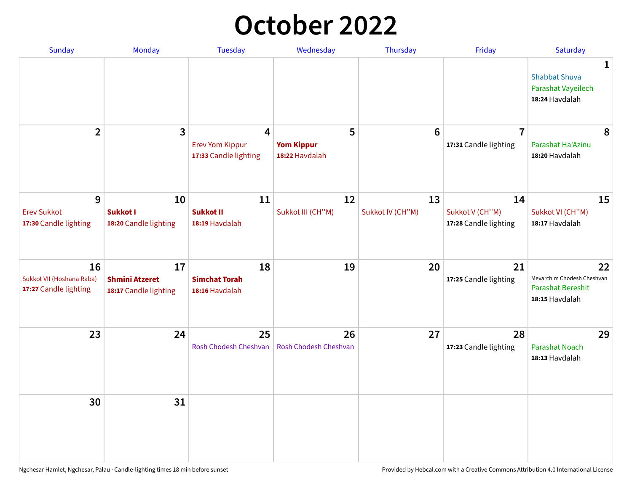## **October 2022**

| <b>Sunday</b>                                            | Monday                                               | <b>Tuesday</b>                                       | Wednesday                                | Thursday               | Friday                                         | Saturday                                                                |
|----------------------------------------------------------|------------------------------------------------------|------------------------------------------------------|------------------------------------------|------------------------|------------------------------------------------|-------------------------------------------------------------------------|
|                                                          |                                                      |                                                      |                                          |                        |                                                | 1<br><b>Shabbat Shuva</b><br>Parashat Vayeilech<br>18:24 Havdalah       |
| $\overline{2}$                                           | 3                                                    | 4<br><b>Erev Yom Kippur</b><br>17:33 Candle lighting | 5<br><b>Yom Kippur</b><br>18:22 Havdalah | $6\phantom{1}6$        | $\overline{7}$<br>17:31 Candle lighting        | 8<br>Parashat Ha'Azinu<br>18:20 Havdalah                                |
| 9<br><b>Erev Sukkot</b><br>17:30 Candle lighting         | 10<br>Sukkot I<br>18:20 Candle lighting              | 11<br><b>Sukkot II</b><br>18:19 Havdalah             | 12<br>Sukkot III (CH"M)                  | 13<br>Sukkot IV (CH"M) | 14<br>Sukkot V (CH"M)<br>17:28 Candle lighting | 15<br>Sukkot VI (CH"M)<br>18:17 Havdalah                                |
| 16<br>Sukkot VII (Hoshana Raba)<br>17:27 Candle lighting | 17<br><b>Shmini Atzeret</b><br>18:17 Candle lighting | 18<br><b>Simchat Torah</b><br>18:16 Havdalah         | 19                                       | 20                     | 21<br>17:25 Candle lighting                    | 22<br>Mevarchim Chodesh Cheshvan<br>Parashat Bereshit<br>18:15 Havdalah |
| 23                                                       | 24                                                   | 25<br>Rosh Chodesh Cheshvan                          | 26<br>Rosh Chodesh Cheshvan              | 27                     | 28<br>17:23 Candle lighting                    | 29<br><b>Parashat Noach</b><br>18:13 Havdalah                           |
| 30                                                       | 31                                                   |                                                      |                                          |                        |                                                |                                                                         |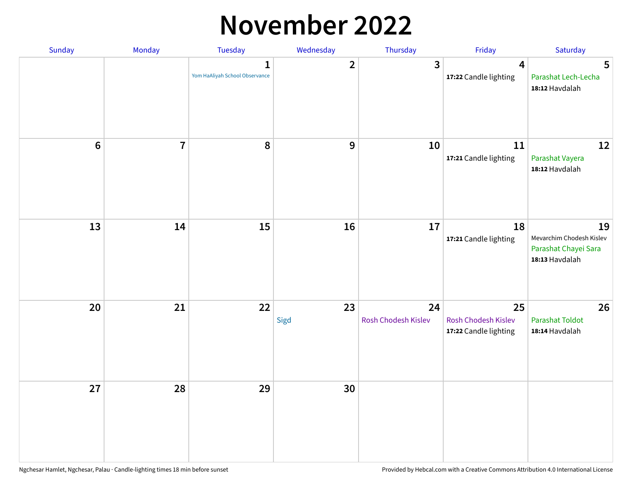## **November 2022**

| Sunday         | Monday         | Tuesday                                        | Wednesday      | Thursday                  | Friday                                             | Saturday                                                                 |
|----------------|----------------|------------------------------------------------|----------------|---------------------------|----------------------------------------------------|--------------------------------------------------------------------------|
|                |                | $\mathbf{1}$<br>Yom HaAliyah School Observance | $\overline{2}$ | 3                         | $\overline{4}$<br>17:22 Candle lighting            | $5\phantom{.0}$<br>Parashat Lech-Lecha<br>18:12 Havdalah                 |
| $6\phantom{1}$ | $\overline{7}$ | 8                                              | 9              | 10                        | 11<br>17:21 Candle lighting                        | 12<br>Parashat Vayera<br>18:12 Havdalah                                  |
| 13             | 14             | 15                                             | 16             | 17                        | 18<br>17:21 Candle lighting                        | 19<br>Mevarchim Chodesh Kislev<br>Parashat Chayei Sara<br>18:13 Havdalah |
| 20             | 21             | 22                                             | 23<br>Sigd     | 24<br>Rosh Chodesh Kislev | 25<br>Rosh Chodesh Kislev<br>17:22 Candle lighting | 26<br><b>Parashat Toldot</b><br>18:14 Havdalah                           |
| 27             | 28             | 29                                             | 30             |                           |                                                    |                                                                          |